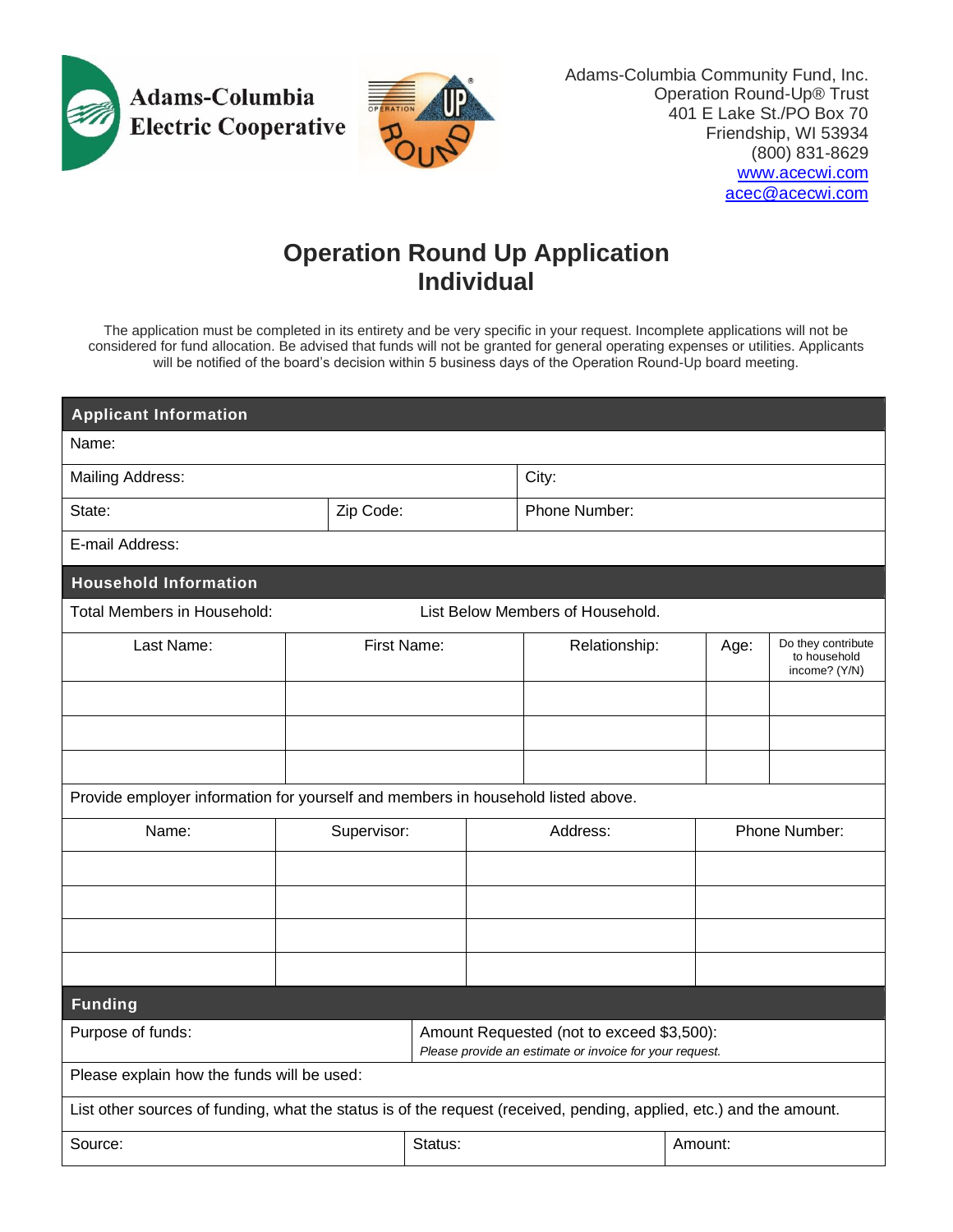

Adams-Columbia Community Fund, Inc. Operation Round-Up® Trust 401 E Lake St./PO Box 70 Friendship, WI 53934 (800) 831-8629 [www.acecwi.com](http://www.acecwi.com/) [acec@acecwi.com](mailto:acec@acecwi.com)

## **Operation Round Up Application Individual**

The application must be completed in its entirety and be very specific in your request. Incomplete applications will not be considered for fund allocation. Be advised that funds will not be granted for general operating expenses or utilities. Applicants will be notified of the board's decision within 5 business days of the Operation Round-Up board meeting.

| <b>Applicant Information</b>                                                                                        |             |  |                                                                                                      |  |               |         |               |                                                     |  |
|---------------------------------------------------------------------------------------------------------------------|-------------|--|------------------------------------------------------------------------------------------------------|--|---------------|---------|---------------|-----------------------------------------------------|--|
| Name:                                                                                                               |             |  |                                                                                                      |  |               |         |               |                                                     |  |
| <b>Mailing Address:</b>                                                                                             |             |  |                                                                                                      |  | City:         |         |               |                                                     |  |
| Zip Code:<br>State:                                                                                                 |             |  | Phone Number:                                                                                        |  |               |         |               |                                                     |  |
| E-mail Address:                                                                                                     |             |  |                                                                                                      |  |               |         |               |                                                     |  |
| <b>Household Information</b>                                                                                        |             |  |                                                                                                      |  |               |         |               |                                                     |  |
| List Below Members of Household.<br>Total Members in Household:                                                     |             |  |                                                                                                      |  |               |         |               |                                                     |  |
| Last Name:                                                                                                          |             |  | First Name:                                                                                          |  | Relationship: |         | Age:          | Do they contribute<br>to household<br>income? (Y/N) |  |
|                                                                                                                     |             |  |                                                                                                      |  |               |         |               |                                                     |  |
|                                                                                                                     |             |  |                                                                                                      |  |               |         |               |                                                     |  |
|                                                                                                                     |             |  |                                                                                                      |  |               |         |               |                                                     |  |
| Provide employer information for yourself and members in household listed above.                                    |             |  |                                                                                                      |  |               |         |               |                                                     |  |
| Name:                                                                                                               | Supervisor: |  |                                                                                                      |  | Address:      |         | Phone Number: |                                                     |  |
|                                                                                                                     |             |  |                                                                                                      |  |               |         |               |                                                     |  |
|                                                                                                                     |             |  |                                                                                                      |  |               |         |               |                                                     |  |
|                                                                                                                     |             |  |                                                                                                      |  |               |         |               |                                                     |  |
|                                                                                                                     |             |  |                                                                                                      |  |               |         |               |                                                     |  |
| <b>Funding</b>                                                                                                      |             |  |                                                                                                      |  |               |         |               |                                                     |  |
| Purpose of funds:                                                                                                   |             |  | Amount Requested (not to exceed \$3,500):<br>Please provide an estimate or invoice for your request. |  |               |         |               |                                                     |  |
| Please explain how the funds will be used:                                                                          |             |  |                                                                                                      |  |               |         |               |                                                     |  |
| List other sources of funding, what the status is of the request (received, pending, applied, etc.) and the amount. |             |  |                                                                                                      |  |               |         |               |                                                     |  |
| Source:                                                                                                             |             |  | Status:                                                                                              |  |               | Amount: |               |                                                     |  |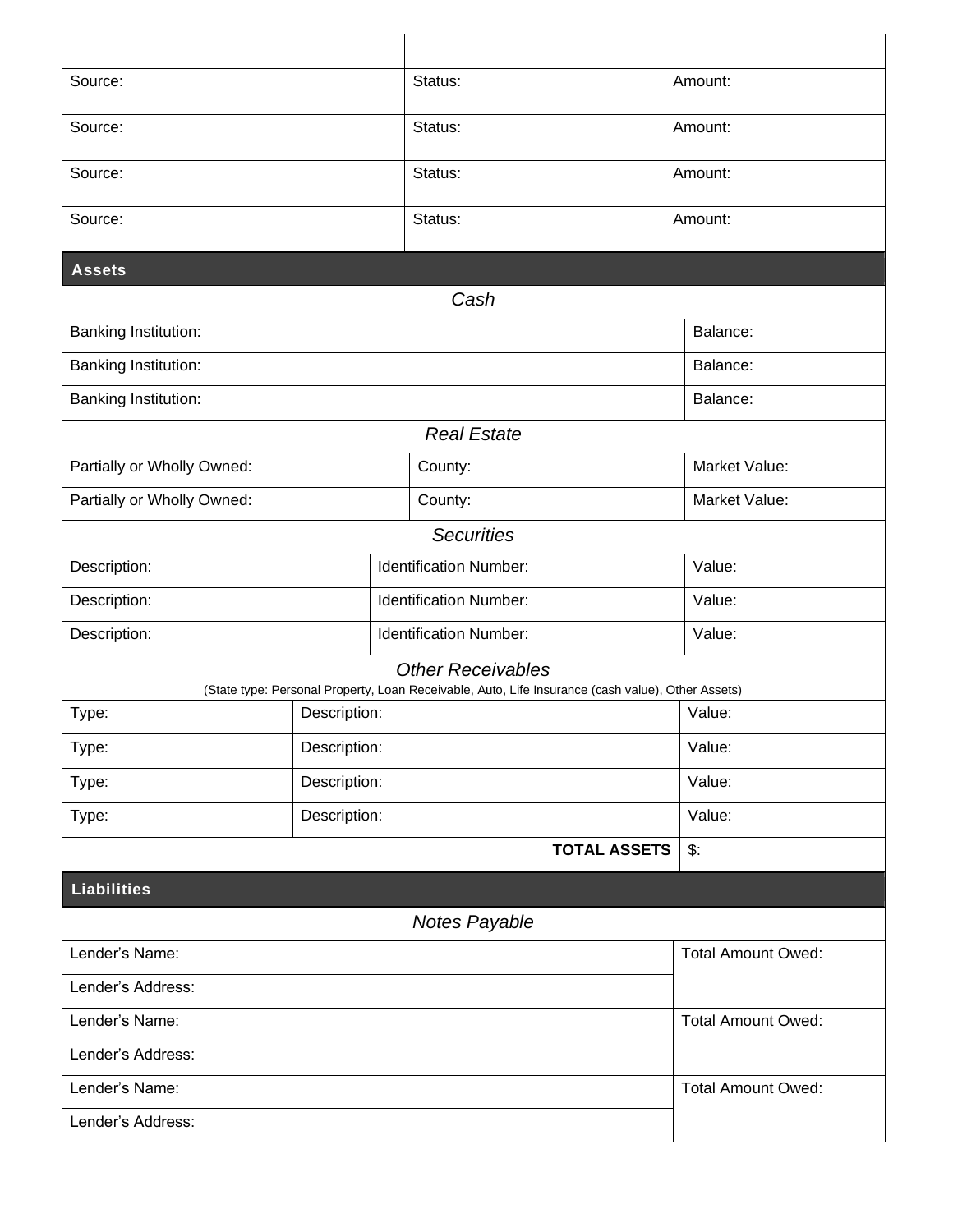| Source:                                                                                                                    |              |  | Status:                       |  | Amount:                   |  |  |  |
|----------------------------------------------------------------------------------------------------------------------------|--------------|--|-------------------------------|--|---------------------------|--|--|--|
| Source:                                                                                                                    |              |  | Status:                       |  | Amount:                   |  |  |  |
| Source:                                                                                                                    |              |  | Status:                       |  | Amount:                   |  |  |  |
| Source:                                                                                                                    |              |  | Status:                       |  | Amount:                   |  |  |  |
| <b>Assets</b>                                                                                                              |              |  |                               |  |                           |  |  |  |
| Cash                                                                                                                       |              |  |                               |  |                           |  |  |  |
| <b>Banking Institution:</b>                                                                                                |              |  |                               |  | Balance:                  |  |  |  |
| <b>Banking Institution:</b>                                                                                                |              |  |                               |  | Balance:                  |  |  |  |
| <b>Banking Institution:</b>                                                                                                |              |  |                               |  | Balance:                  |  |  |  |
| <b>Real Estate</b>                                                                                                         |              |  |                               |  |                           |  |  |  |
| Partially or Wholly Owned:                                                                                                 |              |  | County:                       |  | Market Value:             |  |  |  |
| Partially or Wholly Owned:                                                                                                 |              |  | County:                       |  | Market Value:             |  |  |  |
|                                                                                                                            |              |  |                               |  |                           |  |  |  |
| <b>Identification Number:</b><br>Description:                                                                              |              |  |                               |  | Value:                    |  |  |  |
| Description:                                                                                                               |              |  | <b>Identification Number:</b> |  | Value:                    |  |  |  |
| Description:                                                                                                               |              |  | <b>Identification Number:</b> |  | Value:                    |  |  |  |
|                                                                                                                            |              |  | <b>Other Receivables</b>      |  |                           |  |  |  |
| (State type: Personal Property, Loan Receivable, Auto, Life Insurance (cash value), Other Assets)<br>Description:<br>Type: |              |  |                               |  | Value:                    |  |  |  |
| Type:                                                                                                                      | Description: |  |                               |  | Value:                    |  |  |  |
| Type:                                                                                                                      |              |  |                               |  | Value:                    |  |  |  |
|                                                                                                                            | Description: |  |                               |  |                           |  |  |  |
| Description:<br>Type:                                                                                                      |              |  |                               |  | Value:                    |  |  |  |
|                                                                                                                            |              |  | <b>TOTAL ASSETS</b>           |  | $\mathcal{L}$ :           |  |  |  |
| <b>Liabilities</b>                                                                                                         |              |  |                               |  |                           |  |  |  |
| <b>Notes Payable</b>                                                                                                       |              |  |                               |  |                           |  |  |  |
| Lender's Name:                                                                                                             |              |  |                               |  | <b>Total Amount Owed:</b> |  |  |  |
| Lender's Address:                                                                                                          |              |  |                               |  |                           |  |  |  |
| Lender's Name:                                                                                                             |              |  |                               |  | <b>Total Amount Owed:</b> |  |  |  |
| Lender's Address:                                                                                                          |              |  |                               |  |                           |  |  |  |
| Lender's Name:                                                                                                             |              |  |                               |  | <b>Total Amount Owed:</b> |  |  |  |
| Lender's Address:                                                                                                          |              |  |                               |  |                           |  |  |  |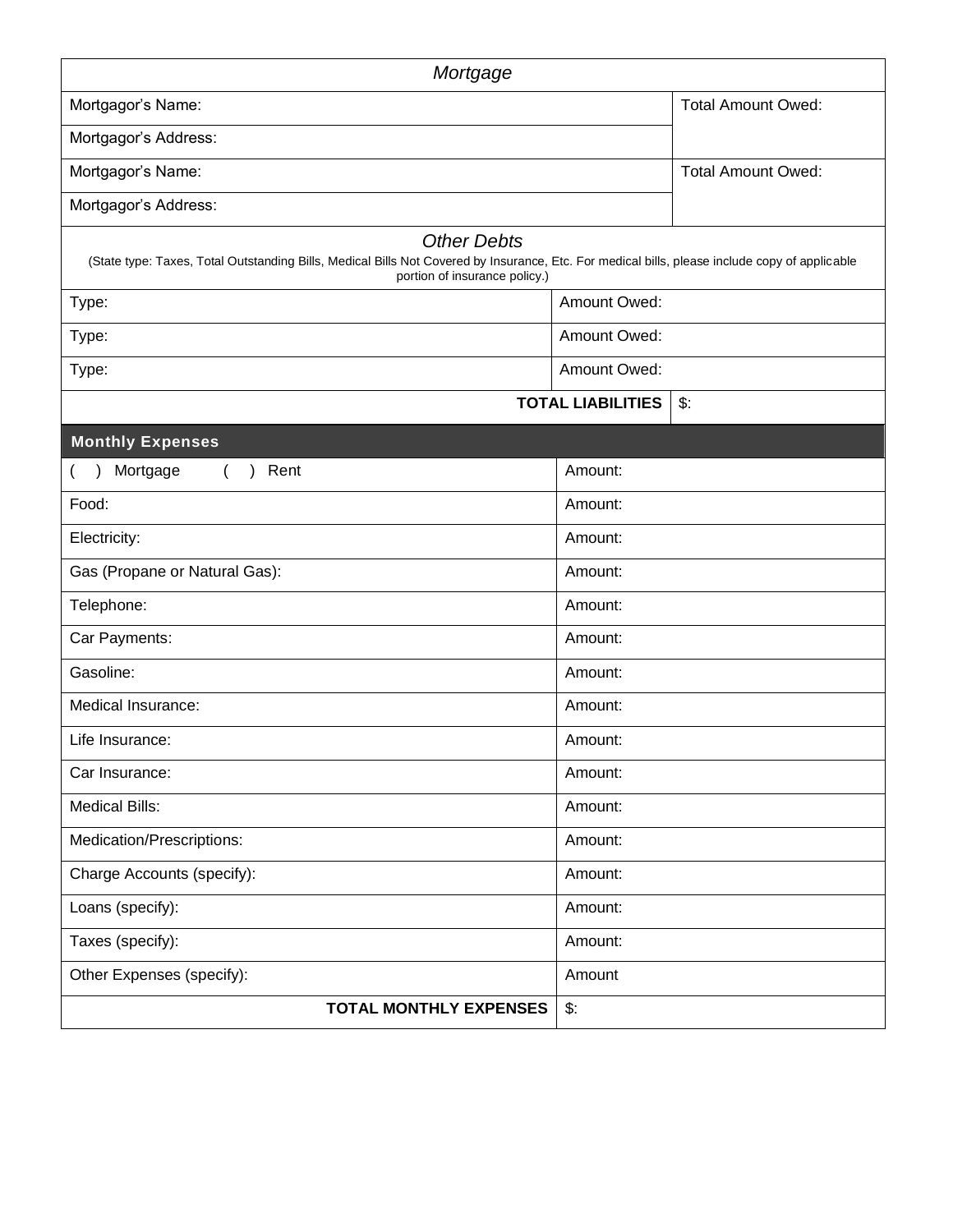| Mortgage                                                                                                                                                                                              |                           |                           |  |  |  |  |  |
|-------------------------------------------------------------------------------------------------------------------------------------------------------------------------------------------------------|---------------------------|---------------------------|--|--|--|--|--|
| Mortgagor's Name:                                                                                                                                                                                     | <b>Total Amount Owed:</b> |                           |  |  |  |  |  |
| Mortgagor's Address:                                                                                                                                                                                  |                           |                           |  |  |  |  |  |
| Mortgagor's Name:                                                                                                                                                                                     |                           | <b>Total Amount Owed:</b> |  |  |  |  |  |
| Mortgagor's Address:                                                                                                                                                                                  |                           |                           |  |  |  |  |  |
| <b>Other Debts</b><br>(State type: Taxes, Total Outstanding Bills, Medical Bills Not Covered by Insurance, Etc. For medical bills, please include copy of applicable<br>portion of insurance policy.) |                           |                           |  |  |  |  |  |
| Type:                                                                                                                                                                                                 | Amount Owed:              |                           |  |  |  |  |  |
| Type:                                                                                                                                                                                                 | Amount Owed:              |                           |  |  |  |  |  |
| Type:                                                                                                                                                                                                 | <b>Amount Owed:</b>       |                           |  |  |  |  |  |
|                                                                                                                                                                                                       | <b>TOTAL LIABILITIES</b>  | $\mathsf{\$}$ :           |  |  |  |  |  |
| <b>Monthly Expenses</b>                                                                                                                                                                               |                           |                           |  |  |  |  |  |
| Mortgage<br>Rent<br>$\overline{ }$                                                                                                                                                                    | Amount:                   |                           |  |  |  |  |  |
| Food:                                                                                                                                                                                                 | Amount:                   |                           |  |  |  |  |  |
| Electricity:                                                                                                                                                                                          | Amount:                   |                           |  |  |  |  |  |
| Gas (Propane or Natural Gas):                                                                                                                                                                         | Amount:                   |                           |  |  |  |  |  |
| Telephone:                                                                                                                                                                                            | Amount:                   |                           |  |  |  |  |  |
| Car Payments:                                                                                                                                                                                         | Amount:                   |                           |  |  |  |  |  |
| Gasoline:                                                                                                                                                                                             | Amount:                   |                           |  |  |  |  |  |
| Medical Insurance:                                                                                                                                                                                    | Amount:                   |                           |  |  |  |  |  |
| Life Insurance:                                                                                                                                                                                       | Amount:                   |                           |  |  |  |  |  |
| Car Insurance:                                                                                                                                                                                        | Amount:                   |                           |  |  |  |  |  |
| <b>Medical Bills:</b>                                                                                                                                                                                 | Amount:                   |                           |  |  |  |  |  |
| Medication/Prescriptions:                                                                                                                                                                             | Amount:                   |                           |  |  |  |  |  |
| Charge Accounts (specify):                                                                                                                                                                            | Amount:                   |                           |  |  |  |  |  |
| Loans (specify):                                                                                                                                                                                      | Amount:                   |                           |  |  |  |  |  |
| Taxes (specify):                                                                                                                                                                                      | Amount:                   |                           |  |  |  |  |  |
| Other Expenses (specify):                                                                                                                                                                             | Amount                    |                           |  |  |  |  |  |
| <b>TOTAL MONTHLY EXPENSES</b>                                                                                                                                                                         | $\mathsf{\$}$ :           |                           |  |  |  |  |  |